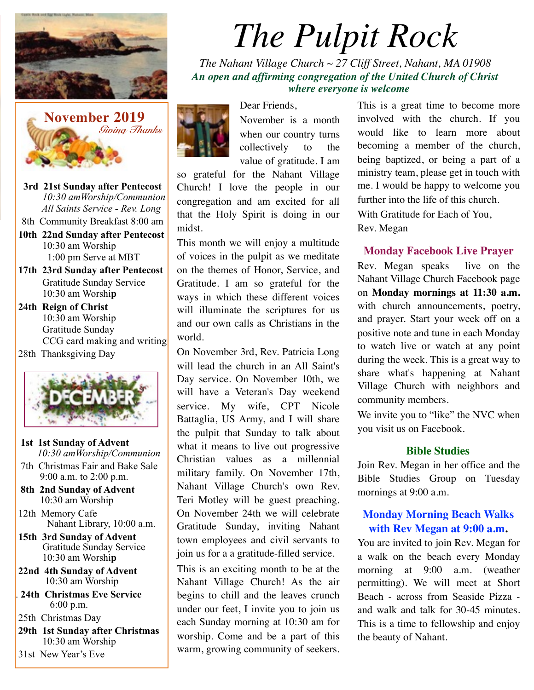



 **3rd 21st Sunday after Pentecost** *10:30 amWorship/Communion All Saints Service - Rev. Long* 

8th Community Breakfast 8:00 am

- **10th 22nd Sunday after Pentecost** 10:30 am Worship 1:00 pm Serve at MBT
- **17th 23rd Sunday after Pentecost**  Gratitude Sunday Service 10:30 am Worshi**p**
- **24th Reign of Christ**  10:30 am Worship Gratitude Sunday CCG card making and writing
- 28th Thanksgiving Day



- **1st 1st Sunday of Advent**  *10:30 amWorship/Communion*
- 7th Christmas Fair and Bake Sale 9:00 a.m. to 2:00 p.m.
- **8th 2nd Sunday of Advent** 10:30 am Worship
- 12th Memory Cafe Nahant Library, 10:00 a.m.
- **15th 3rd Sunday of Advent**  Gratitude Sunday Service 10:30 am Worshi**p**
- **22nd 4th Sunday of Advent**  10:30 am Worship
- . **24th Christmas Eve Service** 6:00 p.m.
- 25th Christmas Day
- **29th 1st Sunday after Christmas** 10:30 am Worship
- 31st New Year's Eve

# *The Pulpit Rock*

*The Nahant Village Church ~ 27 Cliff Street, Nahant, MA 01908 An open and affirming congregation of the United Church of Christ where everyone is welcome*



November is a month when our country turns collectively to the value of gratitude. I am

so grateful for the Nahant Village Church! I love the people in our congregation and am excited for all that the Holy Spirit is doing in our midst.

Dear Friends,

This month we will enjoy a multitude of voices in the pulpit as we meditate on the themes of Honor, Service, and Gratitude. I am so grateful for the ways in which these different voices will illuminate the scriptures for us and our own calls as Christians in the world.

On November 3rd, Rev. Patricia Long will lead the church in an All Saint's Day service. On November 10th, we will have a Veteran's Day weekend service. My wife, CPT Nicole Battaglia, US Army, and I will share the pulpit that Sunday to talk about what it means to live out progressive Christian values as a millennial military family. On November 17th, Nahant Village Church's own Rev. Teri Motley will be guest preaching. On November 24th we will celebrate Gratitude Sunday, inviting Nahant town employees and civil servants to join us for a a gratitude-filled service.

This is an exciting month to be at the Nahant Village Church! As the air begins to chill and the leaves crunch under our feet, I invite you to join us each Sunday morning at 10:30 am for worship. Come and be a part of this warm, growing community of seekers. This is a great time to become more involved with the church. If you would like to learn more about becoming a member of the church, being baptized, or being a part of a ministry team, please get in touch with me. I would be happy to welcome you further into the life of this church. With Gratitude for Each of You, Rev. Megan

#### **Monday Facebook Live Prayer**

Rev. Megan speaks live on the Nahant Village Church Facebook page on **Monday mornings at 11:30 a.m.**  with church announcements, poetry, and prayer. Start your week off on a positive note and tune in each Monday to watch live or watch at any point during the week. This is a great way to share what's happening at Nahant Village Church with neighbors and community members.

We invite you to "like" the NVC when you visit us on Facebook.

#### **Bible Studies**

Join Rev. Megan in her office and the Bible Studies Group on Tuesday mornings at 9:00 a.m.

#### **Monday Morning Beach Walks with Rev Megan at 9:00 a.m.**

You are invited to join Rev. Megan for a walk on the beach every Monday morning at 9:00 a.m. (weather permitting). We will meet at Short Beach - across from Seaside Pizza and walk and talk for 30-45 minutes. This is a time to fellowship and enjoy the beauty of Nahant.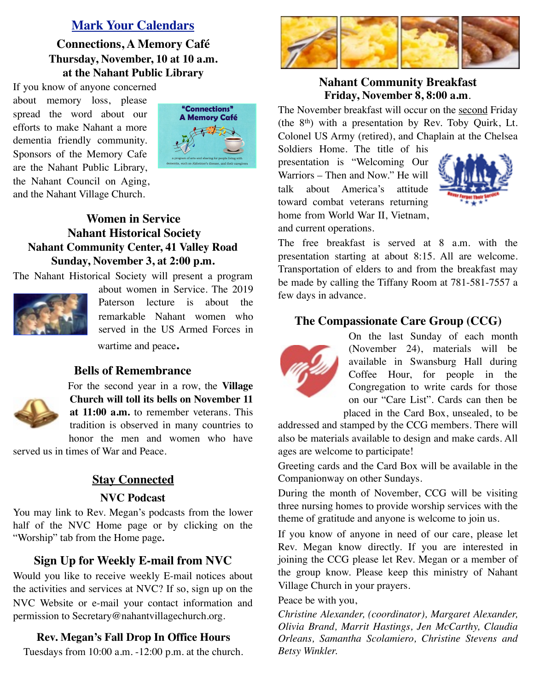# **Mark Your Calendars**

**Connections, A Memory Café Thursday, November, 10 at 10 a.m. at the Nahant Public Library**

If you know of anyone concerned about memory loss, please spread the word about our efforts to make Nahant a more dementia friendly community. Sponsors of the Memory Cafe are the Nahant Public Library, the Nahant Council on Aging, and the Nahant Village Church.



# **Women in Service Nahant Historical Society Nahant Community Center, 41 Valley Road Sunday, November 3, at 2:00 p.m.**

The Nahant Historical Society will present a program



about women in Service. The 2019 Paterson lecture is about the remarkable Nahant women who served in the US Armed Forces in wartime and peace**.**

#### **Bells of Remembrance**



For the second year in a row, the **Village Church will toll its bells on November 11 at 11:00 a.m.** to remember veterans. This tradition is observed in many countries to

honor the men and women who have served us in times of War and Peace.

# **Stay Connected**

#### **NVC Podcast**

You may link to Rev. Megan's podcasts from the lower half of the NVC Home page or by clicking on the "Worship" tab from the Home page*.*

# **Sign Up for Weekly E-mail from NVC**

Would you like to receive weekly E-mail notices about the activities and services at NVC? If so, sign up on the NVC Website or e-mail your contact information and permission to Secretary@nahantvillagechurch.org.

#### **Rev. Megan's Fall Drop In Office Hours**

Tuesdays from 10:00 a.m. -12:00 p.m. at the church.



## **Nahant Community Breakfast Friday, November 8, 8:00 a.m**.

The November breakfast will occur on the second Friday (the 8th) with a presentation by Rev. Toby Quirk, Lt. Colonel US Army (retired), and Chaplain at the Chelsea

Soldiers Home. The title of his presentation is "Welcoming Our Warriors – Then and Now." He will talk about America's attitude toward combat veterans returning home from World War II, Vietnam, and current operations.



The free breakfast is served at 8 a.m. with the presentation starting at about 8:15. All are welcome. Transportation of elders to and from the breakfast may be made by calling the Tiffany Room at 781-581-7557 a few days in advance.

### **The Compassionate Care Group (CCG)**



On the last Sunday of each month (November 24), materials will be available in Swansburg Hall during Coffee Hour, for people in the Congregation to write cards for those on our "Care List". Cards can then be placed in the Card Box, unsealed, to be

addressed and stamped by the CCG members. There will also be materials available to design and make cards. All ages are welcome to participate!

Greeting cards and the Card Box will be available in the Companionway on other Sundays.

During the month of November, CCG will be visiting three nursing homes to provide worship services with the theme of gratitude and anyone is welcome to join us.

If you know of anyone in need of our care, please let Rev. Megan know directly. If you are interested in joining the CCG please let Rev. Megan or a member of the group know. Please keep this ministry of Nahant Village Church in your prayers.

#### Peace be with you,

*Christine Alexander, (coordinator), Margaret Alexander, Olivia Brand, Marrit Hastings, Jen McCarthy, Claudia Orleans, Samantha Scolamiero, Christine Stevens and Betsy Winkler.*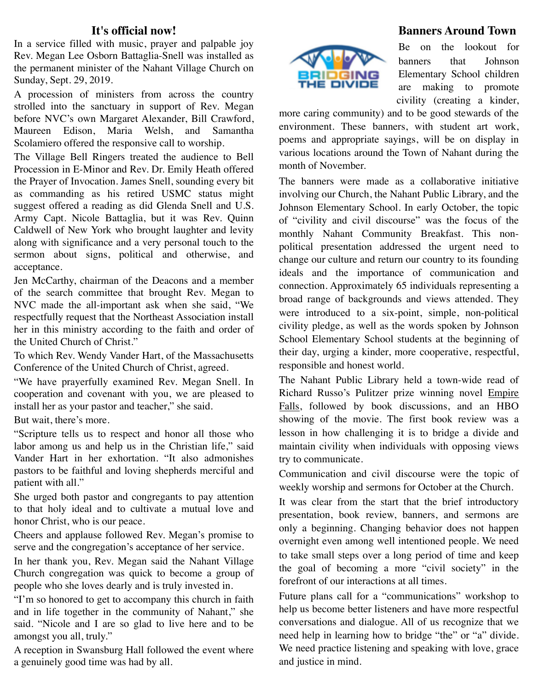#### **It's official now!**

In a service filled with music, prayer and palpable joy Rev. Megan Lee Osborn Battaglia-Snell was installed as the permanent minister of the Nahant Village Church on Sunday, Sept. 29, 2019.

A procession of ministers from across the country strolled into the sanctuary in support of Rev. Megan before NVC's own Margaret Alexander, Bill Crawford, Maureen Edison, Maria Welsh, and Samantha Scolamiero offered the responsive call to worship.

The Village Bell Ringers treated the audience to Bell Procession in E-Minor and Rev. Dr. Emily Heath offered the Prayer of Invocation. James Snell, sounding every bit as commanding as his retired USMC status might suggest offered a reading as did Glenda Snell and U.S. Army Capt. Nicole Battaglia, but it was Rev. Quinn Caldwell of New York who brought laughter and levity along with significance and a very personal touch to the sermon about signs, political and otherwise, and acceptance.

Jen McCarthy, chairman of the Deacons and a member of the search committee that brought Rev. Megan to NVC made the all-important ask when she said, "We respectfully request that the Northeast Association install her in this ministry according to the faith and order of the United Church of Christ."

To which Rev. Wendy Vander Hart, of the Massachusetts Conference of the United Church of Christ, agreed.

"We have prayerfully examined Rev. Megan Snell. In cooperation and covenant with you, we are pleased to install her as your pastor and teacher," she said.

But wait, there's more.

"Scripture tells us to respect and honor all those who labor among us and help us in the Christian life," said Vander Hart in her exhortation. "It also admonishes pastors to be faithful and loving shepherds merciful and patient with all."

She urged both pastor and congregants to pay attention to that holy ideal and to cultivate a mutual love and honor Christ, who is our peace.

Cheers and applause followed Rev. Megan's promise to serve and the congregation's acceptance of her service.

In her thank you, Rev. Megan said the Nahant Village Church congregation was quick to become a group of people who she loves dearly and is truly invested in.

"I'm so honored to get to accompany this church in faith and in life together in the community of Nahant," she said. "Nicole and I are so glad to live here and to be amongst you all, truly."

A reception in Swansburg Hall followed the event where a genuinely good time was had by all.



### **Banners Around Town**

Be on the lookout for banners that Johnson Elementary School children are making to promote civility (creating a kinder,

more caring community) and to be good stewards of the environment. These banners, with student art work, poems and appropriate sayings, will be on display in various locations around the Town of Nahant during the month of November.

The banners were made as a collaborative initiative involving our Church, the Nahant Public Library, and the Johnson Elementary School. In early October, the topic of "civility and civil discourse" was the focus of the monthly Nahant Community Breakfast. This nonpolitical presentation addressed the urgent need to change our culture and return our country to its founding ideals and the importance of communication and connection. Approximately 65 individuals representing a broad range of backgrounds and views attended. They were introduced to a six-point, simple, non-political civility pledge, as well as the words spoken by Johnson School Elementary School students at the beginning of their day, urging a kinder, more cooperative, respectful, responsible and honest world.

The Nahant Public Library held a town-wide read of Richard Russo's Pulitzer prize winning novel Empire Falls, followed by book discussions, and an HBO showing of the movie. The first book review was a lesson in how challenging it is to bridge a divide and maintain civility when individuals with opposing views try to communicate.

Communication and civil discourse were the topic of weekly worship and sermons for October at the Church.

It was clear from the start that the brief introductory presentation, book review, banners, and sermons are only a beginning. Changing behavior does not happen overnight even among well intentioned people. We need to take small steps over a long period of time and keep the goal of becoming a more "civil society" in the forefront of our interactions at all times.

Future plans call for a "communications" workshop to help us become better listeners and have more respectful conversations and dialogue. All of us recognize that we need help in learning how to bridge "the" or "a" divide. We need practice listening and speaking with love, grace and justice in mind.